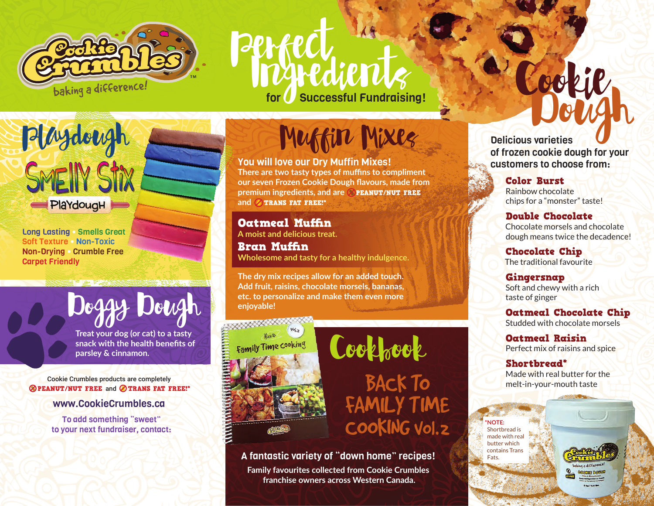

## Perfect **Successful Fundraising!**

PlaYdougH

Playdough

Long Lasting • Smells Great Soft Texture • Non-Toxic Non-Drying • Crumble Free Carpet Friendly

> **Treat your dog (or cat) to a tasty snack with the health benefits of parsley & cinnamon.**

Doggy Dough

Cookie Crumbles products are completely **ØPEANUT/NUT FREE and ØTRANS FAT FREE!\*** 

www.CookieCrumbles.ca

To add something "sweet" to your next fundraiser, contact: Muffin Mixes

You will love our Dry Muffin Mixes! **There are two tasty types of muffins to compliment our seven Frozen Cookie Dough flavours, made from premium ingredients, and are** PEANUT/NUT FREE and **OTRANS FAT FREE!\*** 

Oatmeal Muffin **A moist and delicious treat.**

Bran Muffin **Wholesome and tasty for a healthy indulgence.**

**The dry mix recipes allow for an added touch. Add fruit, raisins, chocolate morsels, bananas, etc. to personalize and make them even more enjoyable!**





A fantastic variety of "down home" recipes!

**Family favourites collected from Cookie Crumbles franchise owners across Western Canada.**

Delicious varieties of frozen cookie dough for your customers to choose from: Dough Cookie

> Color Burst Rainbow chocolate chips for a "monster" taste!

Double Chocolate Chocolate morsels and chocolate dough means twice the decadence!

Chocolate Chip The traditional favourite

Gingersnap Soft and chewy with a rich taste of ginger

Oatmeal Chocolate Chip Studded with chocolate morsels

Oatmeal Raisin Perfect mix of raisins and spice

## Shortbread\*

Made with real butter for the melt-in-your-mouth taste

**\*NOTE:** Shortbread is made with real butter which contains Trans Fats.